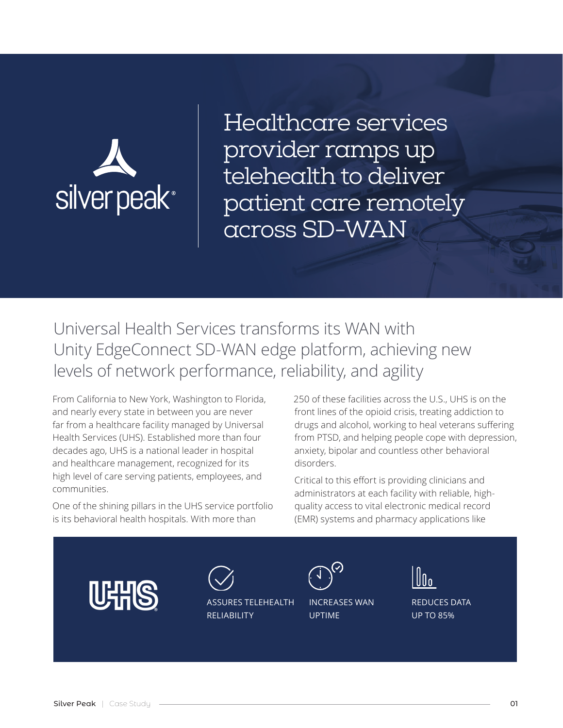

Healthcare services provider ramps up telehealth to deliver patient care remotely across SD-WAN

Universal Health Services transforms its WAN with Unity EdgeConnect SD-WAN edge platform, achieving new levels of network performance, reliability, and agility

From California to New York, Washington to Florida, and nearly every state in between you are never far from a healthcare facility managed by Universal Health Services (UHS). Established more than four decades ago, UHS is a national leader in hospital and healthcare management, recognized for its high level of care serving patients, employees, and communities.

One of the shining pillars in the UHS service portfolio is its behavioral health hospitals. With more than

250 of these facilities across the U.S., UHS is on the front lines of the opioid crisis, treating addiction to drugs and alcohol, working to heal veterans suffering from PTSD, and helping people cope with depression, anxiety, bipolar and countless other behavioral disorders.

Critical to this effort is providing clinicians and administrators at each facility with reliable, highquality access to vital electronic medical record (EMR) systems and pharmacy applications like

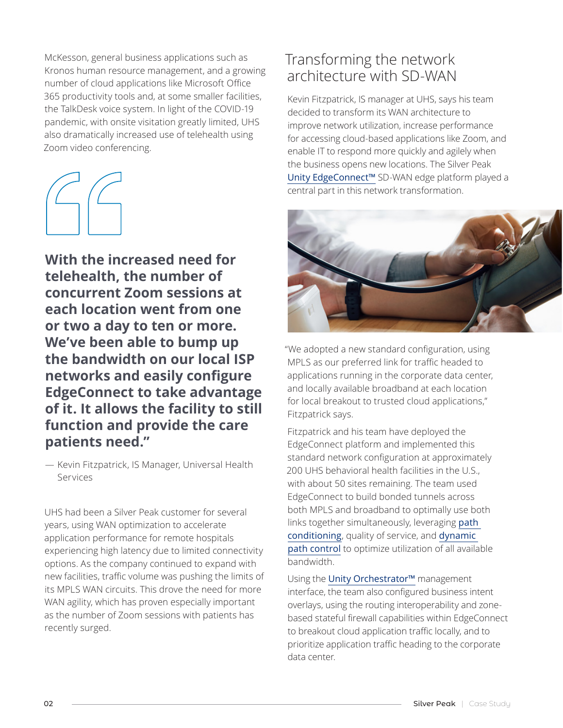McKesson, general business applications such as Kronos human resource management, and a growing number of cloud applications like Microsoft Office 365 productivity tools and, at some smaller facilities, the TalkDesk voice system. In light of the COVID-19 pandemic, with onsite visitation greatly limited, UHS also dramatically increased use of telehealth using Zoom video conferencing.

**With the increased need for telehealth, the number of concurrent Zoom sessions at each location went from one or two a day to ten or more. We've been able to bump up the bandwidth on our local ISP networks and easily configure EdgeConnect to take advantage of it. It allows the facility to still function and provide the care patients need."**

— Kevin Fitzpatrick, IS Manager, Universal Health Services

UHS had been a Silver Peak customer for several years, using WAN optimization to accelerate application performance for remote hospitals experiencing high latency due to limited connectivity options. As the company continued to expand with new facilities, traffic volume was pushing the limits of its MPLS WAN circuits. This drove the need for more WAN agility, which has proven especially important as the number of Zoom sessions with patients has recently surged.

## Transforming the network architecture with SD-WAN

Kevin Fitzpatrick, IS manager at UHS, says his team decided to transform its WAN architecture to improve network utilization, increase performance for accessing cloud-based applications like Zoom, and enable IT to respond more quickly and agilely when the business opens new locations. The Silver Peak [Unity EdgeConnect™](https://www.silver-peak.com/products/unity-edge-connect) SD-WAN edge platform played a central part in this network transformation.



"We adopted a new standard configuration, using MPLS as our preferred link for traffic headed to applications running in the corporate data center, and locally available broadband at each location for local breakout to trusted cloud applications," Fitzpatrick says.

Fitzpatrick and his team have deployed the EdgeConnect platform and implemented this standard network configuration at approximately 200 UHS behavioral health facilities in the U.S., with about 50 sites remaining. The team used EdgeConnect to build bonded tunnels across both MPLS and broadband to optimally use both links together simultaneously, leveraging [path](https://www.silver-peak.com/products/unity-edge-connect/path-conditioning)  [conditioning](https://www.silver-peak.com/products/unity-edge-connect/path-conditioning), quality of service, and [dynamic](https://www.silver-peak.com/products/unity-edge-connect/dynamic-path-control)  [path control](https://www.silver-peak.com/products/unity-edge-connect/dynamic-path-control) to optimize utilization of all available bandwidth.

Using the Unity Orchestrator<sup>™</sup> management interface, the team also configured business intent overlays, using the routing interoperability and zonebased stateful firewall capabilities within EdgeConnect to breakout cloud application traffic locally, and to prioritize application traffic heading to the corporate data center.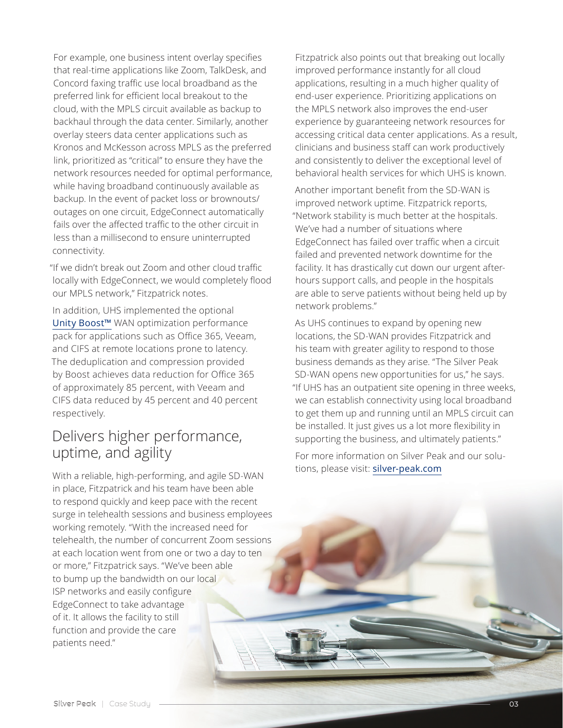For example, one business intent overlay specifies that real-time applications like Zoom, TalkDesk, and Concord faxing traffic use local broadband as the preferred link for efficient local breakout to the cloud, with the MPLS circuit available as backup to backhaul through the data center. Similarly, another overlay steers data center applications such as Kronos and McKesson across MPLS as the preferred link, prioritized as "critical" to ensure they have the network resources needed for optimal performance, while having broadband continuously available as backup. In the event of packet loss or brownouts/ outages on one circuit, EdgeConnect automatically fails over the affected traffic to the other circuit in less than a millisecond to ensure uninterrupted connectivity.

"If we didn't break out Zoom and other cloud traffic locally with EdgeConnect, we would completely flood our MPLS network," Fitzpatrick notes.

In addition, UHS implemented the optional [Unity Boost™](https://www.silver-peak.com/products/unity-boost) WAN optimization performance pack for applications such as Office 365, Veeam, and CIFS at remote locations prone to latency. The deduplication and compression provided by Boost achieves data reduction for Office 365 of approximately 85 percent, with Veeam and CIFS data reduced by 45 percent and 40 percent respectively.

### Delivers higher performance, uptime, and agility

With a reliable, high-performing, and agile SD-WAN in place, Fitzpatrick and his team have been able to respond quickly and keep pace with the recent surge in telehealth sessions and business employees working remotely. "With the increased need for telehealth, the number of concurrent Zoom sessions at each location went from one or two a day to ten or more," Fitzpatrick says. "We've been able to bump up the bandwidth on our local ISP networks and easily configure EdgeConnect to take advantage of it. It allows the facility to still function and provide the care patients need."

Fitzpatrick also points out that breaking out locally improved performance instantly for all cloud applications, resulting in a much higher quality of end-user experience. Prioritizing applications on the MPLS network also improves the end-user experience by guaranteeing network resources for accessing critical data center applications. As a result, clinicians and business staff can work productively and consistently to deliver the exceptional level of behavioral health services for which UHS is known.

Another important benefit from the SD-WAN is improved network uptime. Fitzpatrick reports, "Network stability is much better at the hospitals. We've had a number of situations where EdgeConnect has failed over traffic when a circuit failed and prevented network downtime for the facility. It has drastically cut down our urgent afterhours support calls, and people in the hospitals are able to serve patients without being held up by network problems."

As UHS continues to expand by opening new locations, the SD-WAN provides Fitzpatrick and his team with greater agility to respond to those business demands as they arise. "The Silver Peak SD-WAN opens new opportunities for us," he says. "If UHS has an outpatient site opening in three weeks, we can establish connectivity using local broadband to get them up and running until an MPLS circuit can be installed. It just gives us a lot more flexibility in supporting the business, and ultimately patients."

For more information on Silver Peak and our solutions, please visit: [silver-peak.com](https://www.silver-peak.com/)